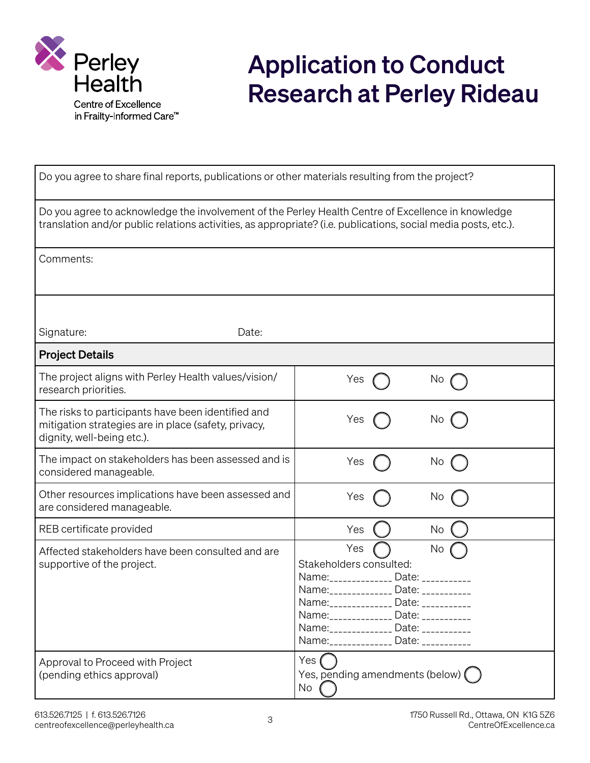

## Application to Conduct Research at Perley Rideau

| Do you agree to share final reports, publications or other materials resulting from the project?                                                                                                                     |                                                                                                                                                                                                                                                                                  |  |
|----------------------------------------------------------------------------------------------------------------------------------------------------------------------------------------------------------------------|----------------------------------------------------------------------------------------------------------------------------------------------------------------------------------------------------------------------------------------------------------------------------------|--|
| Do you agree to acknowledge the involvement of the Perley Health Centre of Excellence in knowledge<br>translation and/or public relations activities, as appropriate? (i.e. publications, social media posts, etc.). |                                                                                                                                                                                                                                                                                  |  |
| Comments:                                                                                                                                                                                                            |                                                                                                                                                                                                                                                                                  |  |
| Signature:<br>Date:                                                                                                                                                                                                  |                                                                                                                                                                                                                                                                                  |  |
| <b>Project Details</b>                                                                                                                                                                                               |                                                                                                                                                                                                                                                                                  |  |
| The project aligns with Perley Health values/vision/<br>research priorities.                                                                                                                                         | ×<br>No.                                                                                                                                                                                                                                                                         |  |
| The risks to participants have been identified and<br>mitigation strategies are in place (safety, privacy,<br>dignity, well-being etc.).                                                                             | Yes<br>No                                                                                                                                                                                                                                                                        |  |
| The impact on stakeholders has been assessed and is<br>considered manageable.                                                                                                                                        | Yes<br>No                                                                                                                                                                                                                                                                        |  |
| Other resources implications have been assessed and<br>are considered manageable.                                                                                                                                    | Yes<br>No                                                                                                                                                                                                                                                                        |  |
| REB certificate provided                                                                                                                                                                                             | Yes<br>No                                                                                                                                                                                                                                                                        |  |
| Affected stakeholders have been consulted and are<br>supportive of the project.                                                                                                                                      | Yes<br>No<br>Stakeholders consulted:<br>Name:_____________<br>Date:<br>Name: ______________ Date: __________<br>Name: _____________ Date: __________<br>Name: ______________ Date: __________<br>Name: ______________ Date: __________<br>Name: ______________ Date: ___________ |  |
| Approval to Proceed with Project<br>(pending ethics approval)                                                                                                                                                        | Yes (<br>Yes, pending amendments (below) $\big(\big)$<br>$No$ (                                                                                                                                                                                                                  |  |